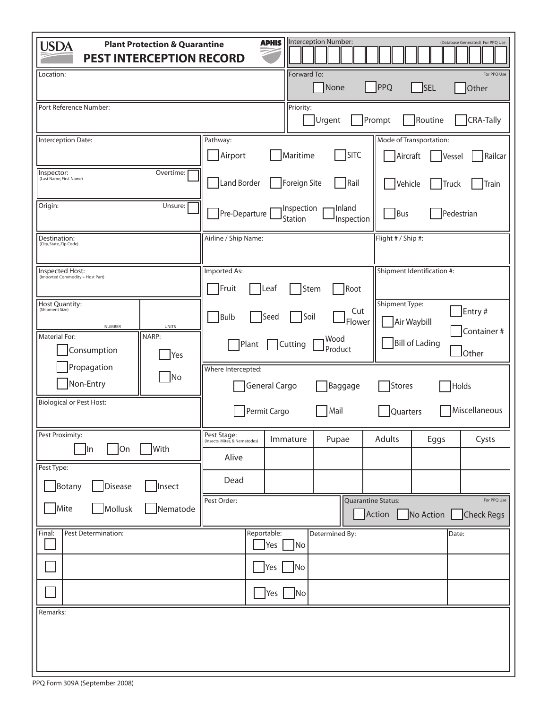| Interception Number:<br><b>APHIS</b><br><b>USDA</b><br><b>Plant Protection &amp; Quarantine</b><br>(Database Generated) For PPQ Use<br><b>PEST INTERCEPTION RECORD</b> |                                                                                                                                                                                                                                                                                       |                                                  |                |                                     |                                   |                      |  |  |
|------------------------------------------------------------------------------------------------------------------------------------------------------------------------|---------------------------------------------------------------------------------------------------------------------------------------------------------------------------------------------------------------------------------------------------------------------------------------|--------------------------------------------------|----------------|-------------------------------------|-----------------------------------|----------------------|--|--|
| Location:                                                                                                                                                              |                                                                                                                                                                                                                                                                                       | Forward To:                                      | None           | PPQ                                 | <b>SEL</b>                        | For PPQ Use<br>Other |  |  |
| Port Reference Number:                                                                                                                                                 |                                                                                                                                                                                                                                                                                       | Priority:                                        | Urgent         | Prompt                              | Routine                           | <b>CRA-Tally</b>     |  |  |
| Interception Date:                                                                                                                                                     | Pathway:<br><b>Airport</b>                                                                                                                                                                                                                                                            | Maritime                                         | <b>SITC</b>    | Aircraft                            | Mode of Transportation:<br>Vessel | Railcar              |  |  |
| Overtime:<br>Inspector:<br>(Last Name, First Name)                                                                                                                     | Land Border<br>Foreign Site<br>Rail<br>Vehicle<br><b>Truck</b><br><b>Train</b>                                                                                                                                                                                                        |                                                  |                |                                     |                                   |                      |  |  |
| Unsure:<br>Origin:                                                                                                                                                     | lnland <del>ر</del><br>  Inspection<br>Pre-Departure  <br>Bus<br>Pedestrian<br>Station<br>Inspection                                                                                                                                                                                  |                                                  |                |                                     |                                   |                      |  |  |
| Destination:<br>(City, State, Zip Code)<br>$\vert \textbf{v} \vert$                                                                                                    | Airline / Ship Name:<br>Flight # / Ship #:<br>$\blacktriangledown$                                                                                                                                                                                                                    |                                                  |                |                                     |                                   |                      |  |  |
| Inspected Host:<br>(Imported Commodity + Host Part)                                                                                                                    | Imported As:<br>Shipment Identification #:<br><b>TFruit</b><br>Stem<br>Root<br> Leaf                                                                                                                                                                                                  |                                                  |                |                                     |                                   |                      |  |  |
| Host Quantity:<br>(Shipment Size)<br>$\vert \cdot \vert$<br><b>NUMBER</b><br><b>UNITS</b><br>Material For:<br>NARP:<br>Consumption<br>Yes                              | Shipment Type:<br>Entry #<br>Cut<br>Soil<br>Bulb<br>Seed<br>Air Waybill<br>Flower<br>Wood<br>Bill of Lading<br>Plant<br><b>Cutting</b><br>Product<br>JOther<br>Where Intercepted:<br>General Cargo<br>Holds<br>Baggage<br>Stores<br>Miscellaneous<br>Permit Cargo<br>Mail<br>Quarters |                                                  |                |                                     | Container#                        |                      |  |  |
| Propagation<br>No<br>Non-Entry<br><b>Biological or Pest Host:</b>                                                                                                      |                                                                                                                                                                                                                                                                                       |                                                  |                |                                     |                                   |                      |  |  |
| Pest Proximity:<br><b>With</b><br>$\vert$ $\vert$ On<br>$\ln$                                                                                                          | Pest Stage:<br>(Insects, Mites, & Nematodes)<br>Alive                                                                                                                                                                                                                                 | Immature                                         | Pupae          | Adults                              | Eggs                              | Cysts                |  |  |
| Pest Type:<br>Botany<br>Disease<br>Insect                                                                                                                              | Dead                                                                                                                                                                                                                                                                                  |                                                  |                |                                     |                                   |                      |  |  |
| Mite<br>$\sqrt{\frac{1}{1}}$ Mollusk<br>Nematode                                                                                                                       | Pest Order:                                                                                                                                                                                                                                                                           |                                                  |                | <b>Quarantine Status:</b><br>Action | No Action Check Regs              | For PPQ Use          |  |  |
| Pest Determination:<br>Final:                                                                                                                                          |                                                                                                                                                                                                                                                                                       | Reportable:<br> Yes <br>$\overline{\mathsf{No}}$ | Determined By: |                                     | Date:                             |                      |  |  |
|                                                                                                                                                                        |                                                                                                                                                                                                                                                                                       | Yes $\vert$<br>No                                |                |                                     |                                   |                      |  |  |
| $Yes$   No                                                                                                                                                             |                                                                                                                                                                                                                                                                                       |                                                  |                |                                     |                                   |                      |  |  |
| Remarks:                                                                                                                                                               |                                                                                                                                                                                                                                                                                       |                                                  |                |                                     |                                   |                      |  |  |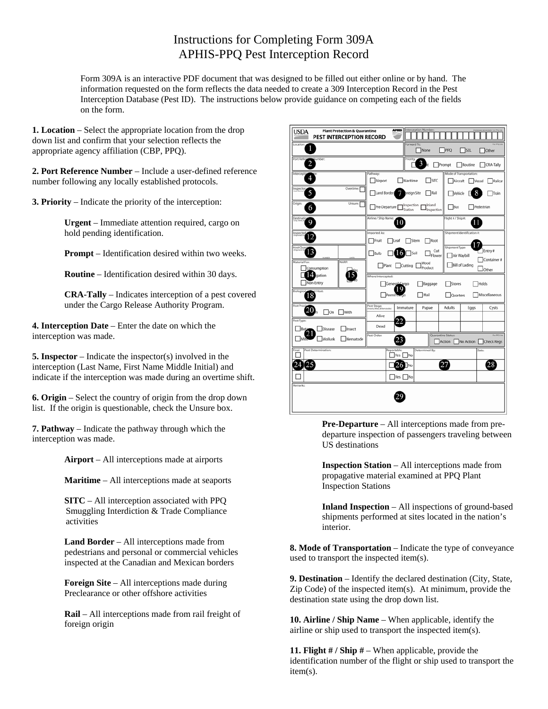## Instructions for Completing Form 309A APHIS-PPQ Pest Interception Record

Form 309A is an interactive PDF document that was designed to be filled out either online or by hand. The information requested on the form reflects the data needed to create a 309 Interception Record in the Pest Interception Database (Pest ID). The instructions below provide guidance on competing each of the fields on the form.

**1. Location** – Select the appropriate location from the drop down list and confirm that your selection reflects the appropriate agency affiliation (CBP, PPQ).

**2. Port Reference Number** – Include a user-defined reference number following any locally established protocols.

**3. Priority** – Indicate the priority of the interception:

**Urgent** – Immediate attention required, cargo on hold pending identification.

**Prompt** – Identification desired within two weeks.

**Routine** – Identification desired within 30 days.

**CRA-Tally** – Indicates interception of a pest covered under the Cargo Release Authority Program.

**4. Interception Date** – Enter the date on which the interception was made.

**5. Inspector** – Indicate the inspector(s) involved in the interception (Last Name, First Name Middle Initial) and indicate if the interception was made during an overtime shift.

**6. Origin** – Select the country of origin from the drop down list. If the origin is questionable, check the Unsure box.

**7. Pathway** – Indicate the pathway through which the interception was made.

**Airport** – All interceptions made at airports

**Maritime** – All interceptions made at seaports

**SITC** – All interception associated with PPQ Smuggling Interdiction & Trade Compliance activities

**Land Border** – All interceptions made from pedestrians and personal or commercial vehicles inspected at the Canadian and Mexican borders

**Foreign Site** – All interceptions made during Preclearance or other offshore activities

**Rail** – All interceptions made from rail freight of foreign origin



**Pre-Departure** – All interceptions made from predeparture inspection of passengers traveling between US destinations

**Inspection Station** – All interceptions made from propagative material examined at PPQ Plant Inspection Stations

**Inland Inspection** – All inspections of ground-based shipments performed at sites located in the nation's interior.

**8. Mode of Transportation** – Indicate the type of conveyance used to transport the inspected item(s).

**9. Destination** – Identify the declared destination (City, State, Zip Code) of the inspected item(s). At minimum, provide the destination state using the drop down list.

**10. Airline / Ship Name** – When applicable, identify the airline or ship used to transport the inspected item(s).

**11. Flight # / Ship #** – When applicable, provide the identification number of the flight or ship used to transport the item(s).